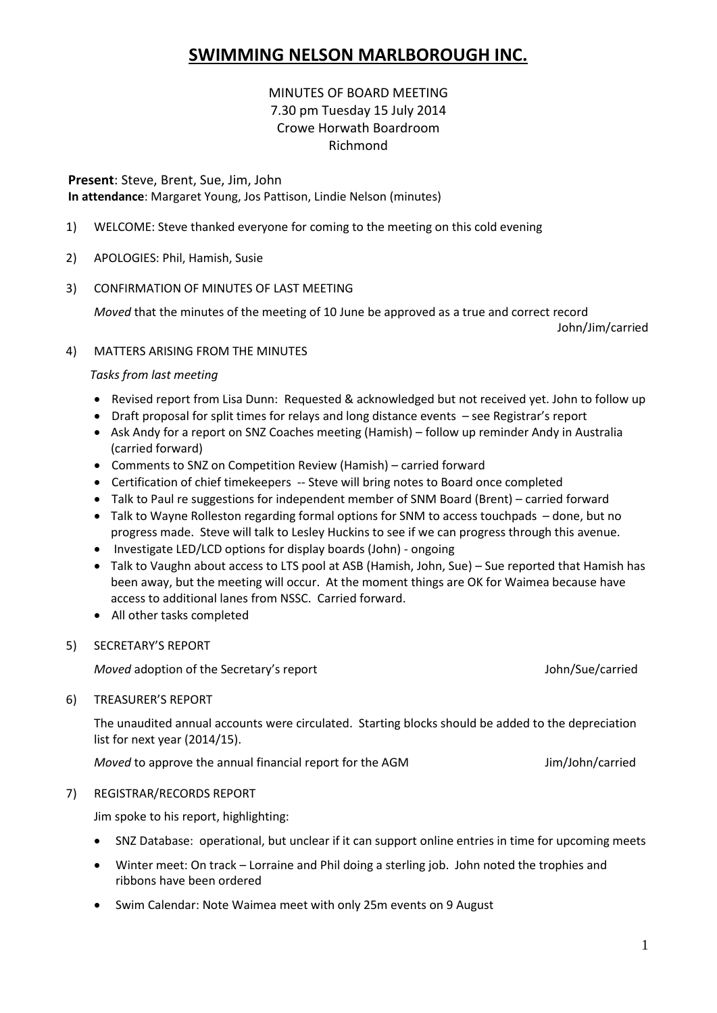# **SWIMMING NELSON MARLBOROUGH INC.**

# MINUTES OF BOARD MEETING 7.30 pm Tuesday 15 July 2014 Crowe Horwath Boardroom Richmond

**Present**: Steve, Brent, Sue, Jim, John **In attendance**: Margaret Young, Jos Pattison, Lindie Nelson (minutes)

- 1) WELCOME: Steve thanked everyone for coming to the meeting on this cold evening
- 2) APOLOGIES: Phil, Hamish, Susie
- 3) CONFIRMATION OF MINUTES OF LAST MEETING

*Moved* that the minutes of the meeting of 10 June be approved as a true and correct record

John/Jim/carried

# 4) MATTERS ARISING FROM THE MINUTES

# *Tasks from last meeting*

- Revised report from Lisa Dunn: Requested & acknowledged but not received yet. John to follow up
- Draft proposal for split times for relays and long distance events see Registrar's report
- Ask Andy for a report on SNZ Coaches meeting (Hamish) follow up reminder Andy in Australia (carried forward)
- Comments to SNZ on Competition Review (Hamish) carried forward
- Certification of chief timekeepers -- Steve will bring notes to Board once completed
- Talk to Paul re suggestions for independent member of SNM Board (Brent) carried forward
- Talk to Wayne Rolleston regarding formal options for SNM to access touchpads done, but no progress made. Steve will talk to Lesley Huckins to see if we can progress through this avenue.
- Investigate LED/LCD options for display boards (John) ongoing
- Talk to Vaughn about access to LTS pool at ASB (Hamish, John, Sue) Sue reported that Hamish has been away, but the meeting will occur. At the moment things are OK for Waimea because have access to additional lanes from NSSC. Carried forward.
- All other tasks completed
- 5) SECRETARY'S REPORT

*Moved* adoption of the Secretary's report **Access 2016** 10 and 10 and 10 and 10 and 10 and 10 and 10 and 10 and 10 and 10 and 10 and 10 and 10 and 10 and 10 and 10 and 10 and 10 and 10 and 10 and 10 and 10 and 10 and 10 a

6) TREASURER'S REPORT

The unaudited annual accounts were circulated. Starting blocks should be added to the depreciation list for next year (2014/15).

*Moved* to approve the annual financial report for the AGM **Jim/John/carried** 

# 7) REGISTRAR/RECORDS REPORT

Jim spoke to his report, highlighting:

- SNZ Database: operational, but unclear if it can support online entries in time for upcoming meets
- Winter meet: On track Lorraine and Phil doing a sterling job. John noted the trophies and ribbons have been ordered
- Swim Calendar: Note Waimea meet with only 25m events on 9 August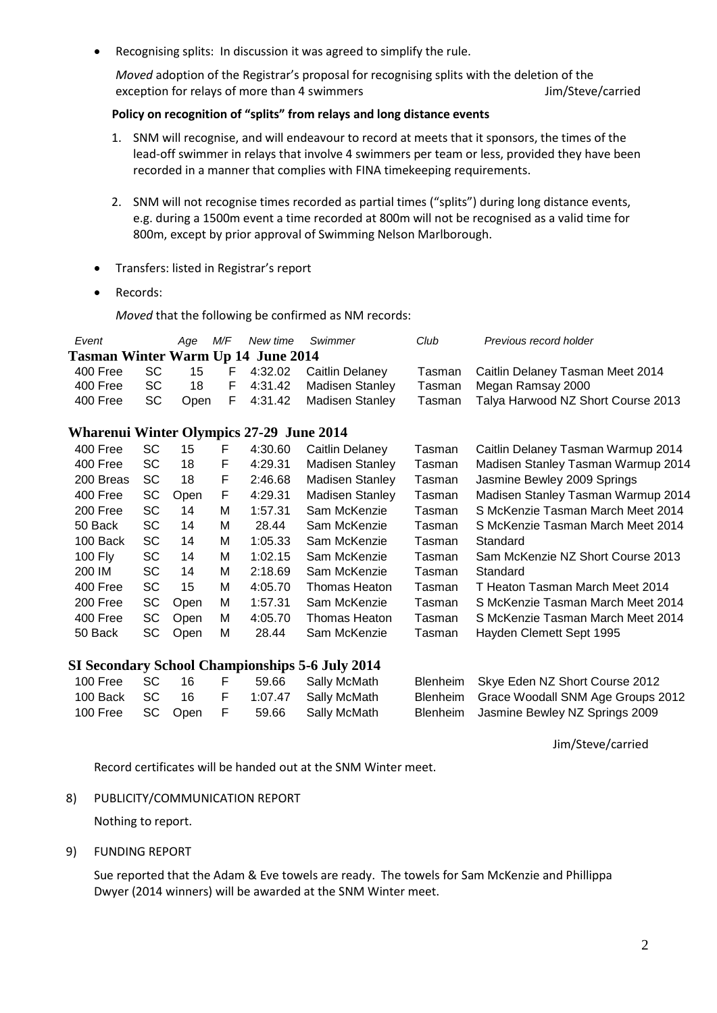Recognising splits: In discussion it was agreed to simplify the rule.

*Moved* adoption of the Registrar's proposal for recognising splits with the deletion of the exception for relays of more than 4 swimmers Jim/Steve/carried

# **Policy on recognition of "splits" from relays and long distance events**

- 1. SNM will recognise, and will endeavour to record at meets that it sponsors, the times of the lead-off swimmer in relays that involve 4 swimmers per team or less, provided they have been recorded in a manner that complies with FINA timekeeping requirements.
- 2. SNM will not recognise times recorded as partial times ("splits") during long distance events, e.g. during a 1500m event a time recorded at 800m will not be recognised as a valid time for 800m, except by prior approval of Swimming Nelson Marlborough.
- Transfers: listed in Registrar's report
- Records:

*Moved* that the following be confirmed as NM records:

| Event                                                  |           | Age  | M/F | New time | Swimmer                | Club            | Previous record holder             |  |  |  |
|--------------------------------------------------------|-----------|------|-----|----------|------------------------|-----------------|------------------------------------|--|--|--|
| <b>Tasman Winter Warm Up 14 June 2014</b>              |           |      |     |          |                        |                 |                                    |  |  |  |
| 400 Free                                               | <b>SC</b> | 15   | F   | 4:32.02  | Caitlin Delaney        | Tasman          | Caitlin Delaney Tasman Meet 2014   |  |  |  |
| 400 Free                                               | SC        | 18   | F   | 4:31.42  | <b>Madisen Stanley</b> | Tasman          | Megan Ramsay 2000                  |  |  |  |
| 400 Free                                               | <b>SC</b> | Open | F   | 4:31.42  | <b>Madisen Stanley</b> | Tasman          | Talya Harwood NZ Short Course 2013 |  |  |  |
|                                                        |           |      |     |          |                        |                 |                                    |  |  |  |
| <b>Wharenui Winter Olympics 27-29 June 2014</b>        |           |      |     |          |                        |                 |                                    |  |  |  |
| 400 Free                                               | <b>SC</b> | 15   | F   | 4:30.60  | Caitlin Delaney        | Tasman          | Caitlin Delaney Tasman Warmup 2014 |  |  |  |
| 400 Free                                               | <b>SC</b> | 18   | F   | 4:29.31  | <b>Madisen Stanley</b> | Tasman          | Madisen Stanley Tasman Warmup 2014 |  |  |  |
| 200 Breas                                              | <b>SC</b> | 18   | F   | 2:46.68  | <b>Madisen Stanley</b> | Tasman          | Jasmine Bewley 2009 Springs        |  |  |  |
| 400 Free                                               | SC        | Open | F   | 4:29.31  | <b>Madisen Stanley</b> | Tasman          | Madisen Stanley Tasman Warmup 2014 |  |  |  |
| 200 Free                                               | SC        | 14   | м   | 1:57.31  | Sam McKenzie           | Tasman          | S McKenzie Tasman March Meet 2014  |  |  |  |
| 50 Back                                                | <b>SC</b> | 14   | м   | 28.44    | Sam McKenzie           | Tasman          | S McKenzie Tasman March Meet 2014  |  |  |  |
| 100 Back                                               | <b>SC</b> | 14   | м   | 1:05.33  | Sam McKenzie           | Tasman          | Standard                           |  |  |  |
| 100 Fly                                                | <b>SC</b> | 14   | М   | 1:02.15  | Sam McKenzie           | Tasman          | Sam McKenzie NZ Short Course 2013  |  |  |  |
| 200 IM                                                 | SC        | 14   | М   | 2:18.69  | Sam McKenzie           | Tasman          | Standard                           |  |  |  |
| 400 Free                                               | SC        | 15   | М   | 4:05.70  | Thomas Heaton          | Tasman          | T Heaton Tasman March Meet 2014    |  |  |  |
| 200 Free                                               | SC        | Open | М   | 1:57.31  | Sam McKenzie           | Tasman          | S McKenzie Tasman March Meet 2014  |  |  |  |
| 400 Free                                               | <b>SC</b> | Open | м   | 4:05.70  | Thomas Heaton          | Tasman          | S McKenzie Tasman March Meet 2014  |  |  |  |
| 50 Back                                                | SC        | Open | М   | 28.44    | Sam McKenzie           | Tasman          | Hayden Clemett Sept 1995           |  |  |  |
|                                                        |           |      |     |          |                        |                 |                                    |  |  |  |
| <b>SI Secondary School Championships 5-6 July 2014</b> |           |      |     |          |                        |                 |                                    |  |  |  |
| 100 Free                                               | <b>SC</b> | 16   | F   | 59.66    | Sally McMath           | <b>Blenheim</b> | Skye Eden NZ Short Course 2012     |  |  |  |
| 100 Back                                               | <b>SC</b> | 16   | F   | 1:07.47  | Sally McMath           | <b>Blenheim</b> | Grace Woodall SNM Age Groups 2012  |  |  |  |
| 100 Free                                               | SC        | Open | F   | 59.66    | Sally McMath           | <b>Blenheim</b> | Jasmine Bewley NZ Springs 2009     |  |  |  |

Jim/Steve/carried

Record certificates will be handed out at the SNM Winter meet.

8) PUBLICITY/COMMUNICATION REPORT

Nothing to report.

9) FUNDING REPORT

Sue reported that the Adam & Eve towels are ready. The towels for Sam McKenzie and Phillippa Dwyer (2014 winners) will be awarded at the SNM Winter meet.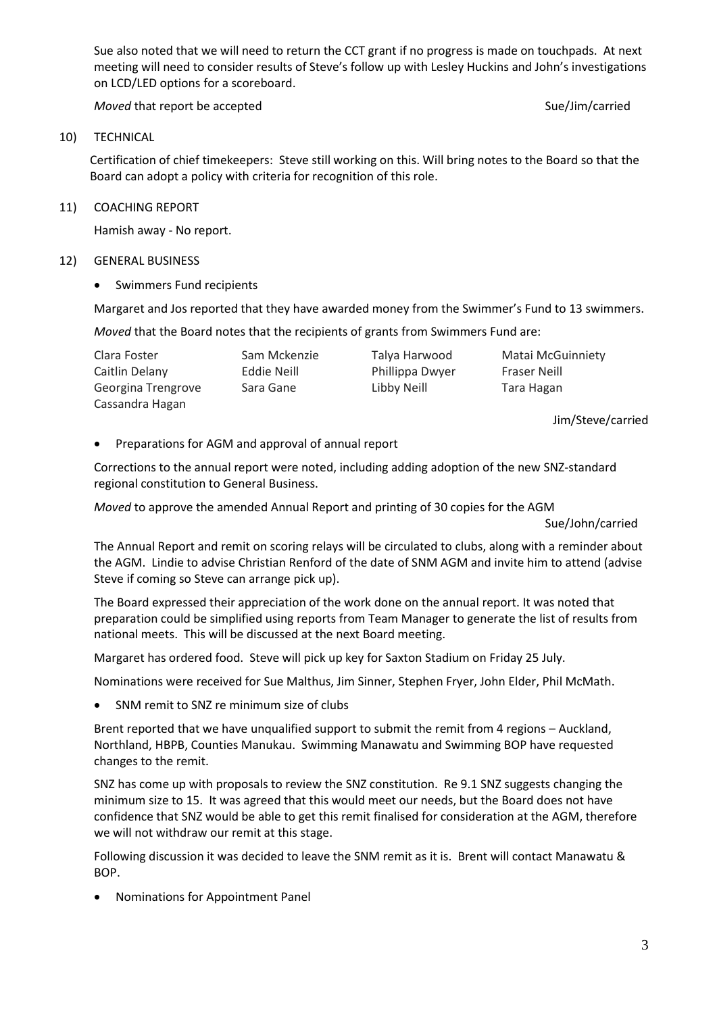Sue also noted that we will need to return the CCT grant if no progress is made on touchpads. At next meeting will need to consider results of Steve's follow up with Lesley Huckins and John's investigations on LCD/LED options for a scoreboard.

*Moved* that report be accepted Sue/Jim/carried Sue/Jim/carried

#### 10) TECHNICAL

Certification of chief timekeepers: Steve still working on this. Will bring notes to the Board so that the Board can adopt a policy with criteria for recognition of this role.

### 11) COACHING REPORT

Hamish away - No report.

### 12) GENERAL BUSINESS

• Swimmers Fund recipients

Margaret and Jos reported that they have awarded money from the Swimmer's Fund to 13 swimmers.

*Moved* that the Board notes that the recipients of grants from Swimmers Fund are:

| Clara Foster       | Sam Mckenzie | Talya Harwood   | <b>Matai McGuinniety</b> |
|--------------------|--------------|-----------------|--------------------------|
| Caitlin Delany     | Eddie Neill  | Phillippa Dwyer | <b>Fraser Neill</b>      |
| Georgina Trengrove | Sara Gane    | Libby Neill     | Tara Hagan               |
| Cassandra Hagan    |              |                 |                          |

Jim/Steve/carried

# Preparations for AGM and approval of annual report

Corrections to the annual report were noted, including adding adoption of the new SNZ-standard regional constitution to General Business.

*Moved* to approve the amended Annual Report and printing of 30 copies for the AGM

Sue/John/carried

The Annual Report and remit on scoring relays will be circulated to clubs, along with a reminder about the AGM. Lindie to advise Christian Renford of the date of SNM AGM and invite him to attend (advise Steve if coming so Steve can arrange pick up).

The Board expressed their appreciation of the work done on the annual report. It was noted that preparation could be simplified using reports from Team Manager to generate the list of results from national meets. This will be discussed at the next Board meeting.

Margaret has ordered food. Steve will pick up key for Saxton Stadium on Friday 25 July.

Nominations were received for Sue Malthus, Jim Sinner, Stephen Fryer, John Elder, Phil McMath.

SNM remit to SNZ re minimum size of clubs

Brent reported that we have unqualified support to submit the remit from 4 regions – Auckland, Northland, HBPB, Counties Manukau. Swimming Manawatu and Swimming BOP have requested changes to the remit.

SNZ has come up with proposals to review the SNZ constitution. Re 9.1 SNZ suggests changing the minimum size to 15. It was agreed that this would meet our needs, but the Board does not have confidence that SNZ would be able to get this remit finalised for consideration at the AGM, therefore we will not withdraw our remit at this stage.

Following discussion it was decided to leave the SNM remit as it is. Brent will contact Manawatu & BOP.

Nominations for Appointment Panel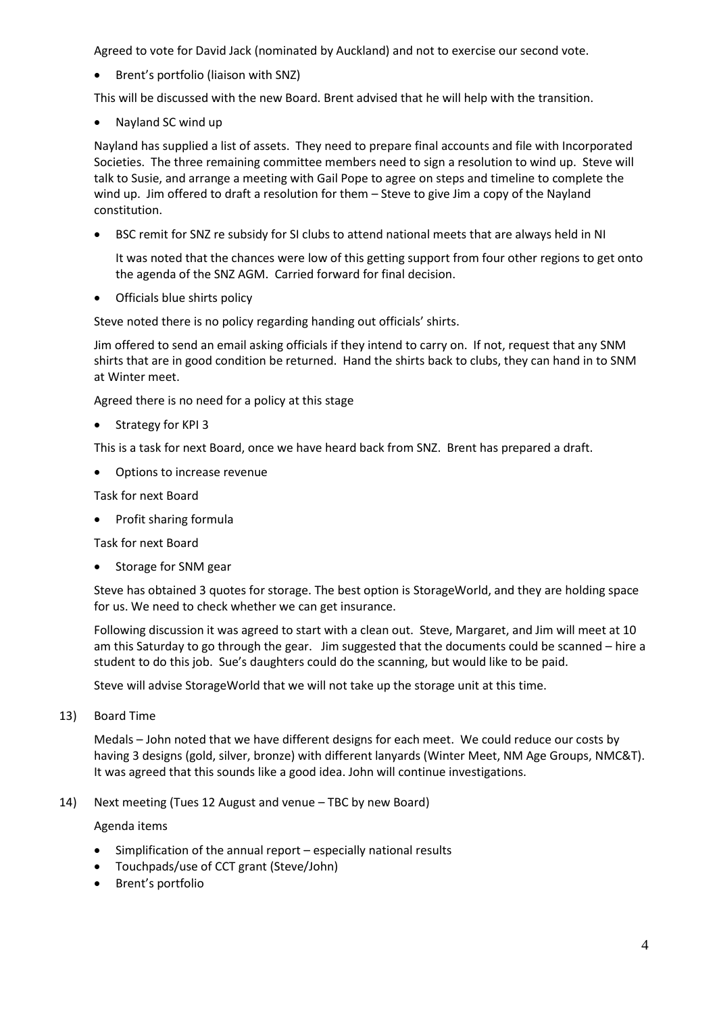Agreed to vote for David Jack (nominated by Auckland) and not to exercise our second vote.

• Brent's portfolio (liaison with SNZ)

This will be discussed with the new Board. Brent advised that he will help with the transition.

Nayland SC wind up

Nayland has supplied a list of assets. They need to prepare final accounts and file with Incorporated Societies. The three remaining committee members need to sign a resolution to wind up. Steve will talk to Susie, and arrange a meeting with Gail Pope to agree on steps and timeline to complete the wind up. Jim offered to draft a resolution for them – Steve to give Jim a copy of the Nayland constitution.

BSC remit for SNZ re subsidy for SI clubs to attend national meets that are always held in NI

It was noted that the chances were low of this getting support from four other regions to get onto the agenda of the SNZ AGM. Carried forward for final decision.

• Officials blue shirts policy

Steve noted there is no policy regarding handing out officials' shirts.

Jim offered to send an email asking officials if they intend to carry on. If not, request that any SNM shirts that are in good condition be returned. Hand the shirts back to clubs, they can hand in to SNM at Winter meet.

Agreed there is no need for a policy at this stage

• Strategy for KPI 3

This is a task for next Board, once we have heard back from SNZ. Brent has prepared a draft.

Options to increase revenue

Task for next Board

• Profit sharing formula

Task for next Board

• Storage for SNM gear

Steve has obtained 3 quotes for storage. The best option is StorageWorld, and they are holding space for us. We need to check whether we can get insurance.

Following discussion it was agreed to start with a clean out. Steve, Margaret, and Jim will meet at 10 am this Saturday to go through the gear. Jim suggested that the documents could be scanned – hire a student to do this job. Sue's daughters could do the scanning, but would like to be paid.

Steve will advise StorageWorld that we will not take up the storage unit at this time.

13) Board Time

Medals – John noted that we have different designs for each meet. We could reduce our costs by having 3 designs (gold, silver, bronze) with different lanyards (Winter Meet, NM Age Groups, NMC&T). It was agreed that this sounds like a good idea. John will continue investigations.

14) Next meeting (Tues 12 August and venue – TBC by new Board)

Agenda items

- Simplification of the annual report especially national results
- Touchpads/use of CCT grant (Steve/John)
- Brent's portfolio